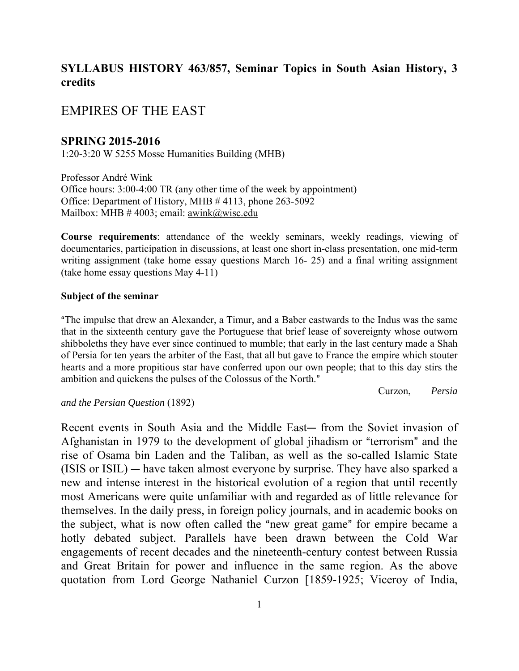## **SYLLABUS HISTORY 463/857, Seminar Topics in South Asian History, 3 credits**

## EMPIRES OF THE EAST

### **SPRING 2015-2016**

1:20-3:20 W 5255 Mosse Humanities Building (MHB)

Professor André Wink Office hours: 3:00-4:00 TR (any other time of the week by appointment) Office: Department of History, MHB # 4113, phone 263-5092 Mailbox: MHB  $# 4003$ ; email: awink@wisc.edu

**Course requirements**: attendance of the weekly seminars, weekly readings, viewing of documentaries, participation in discussions, at least one short in-class presentation, one mid-term writing assignment (take home essay questions March 16- 25) and a final writing assignment (take home essay questions May 4-11)

#### **Subject of the seminar**

AThe impulse that drew an Alexander, a Timur, and a Baber eastwards to the Indus was the same that in the sixteenth century gave the Portuguese that brief lease of sovereignty whose outworn shibboleths they have ever since continued to mumble; that early in the last century made a Shah of Persia for ten years the arbiter of the East, that all but gave to France the empire which stouter hearts and a more propitious star have conferred upon our own people; that to this day stirs the ambition and quickens the pulses of the Colossus of the North."

Curzon, *Persia* 

#### *and the Persian Question* (1892)

Recent events in South Asia and the Middle East— from the Soviet invasion of Afghanistan in 1979 to the development of global jihadism or "terrorism" and the rise of Osama bin Laden and the Taliban, as well as the so-called Islamic State  $(ISIS or ISIL)$  — have taken almost everyone by surprise. They have also sparked a new and intense interest in the historical evolution of a region that until recently most Americans were quite unfamiliar with and regarded as of little relevance for themselves. In the daily press, in foreign policy journals, and in academic books on the subject, what is now often called the "new great game" for empire became a hotly debated subject. Parallels have been drawn between the Cold War engagements of recent decades and the nineteenth-century contest between Russia and Great Britain for power and influence in the same region. As the above quotation from Lord George Nathaniel Curzon [1859-1925; Viceroy of India,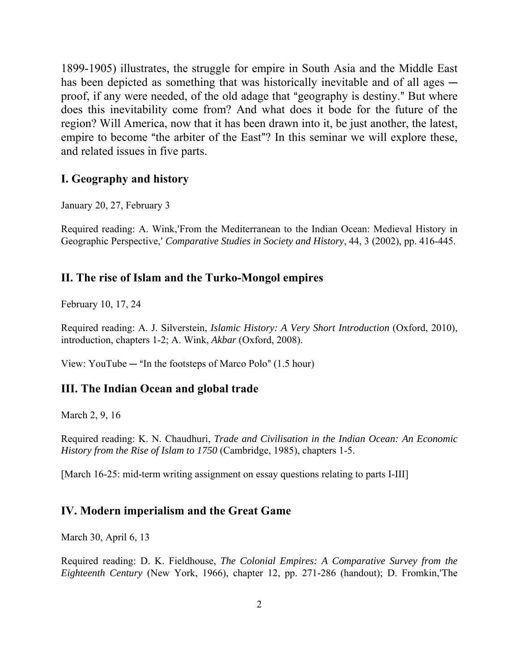1899-1905) illustrates, the struggle for empire in South Asia and the Middle East has been depicted as something that was historically inevitable and of all ages  $$ proof, if any were needed, of the old adage that "geography is destiny." But where does this inevitability come from? And what does it bode for the future of the region? Will America, now that it has been drawn into it, be just another, the latest, empire to become "the arbiter of the East"? In this seminar we will explore these, and related issues in five parts.

### **I. Geography and history**

January 20, 27, February 3

Required reading: A. Wink,'From the Mediterranean to the Indian Ocean: Medieval History in Geographic Perspective,' *Comparative Studies in Society and History*, 44, 3 (2002), pp. 416-445.

### **II. The rise of Islam and the Turko-Mongol empires**

February 10, 17, 24

Required reading: A. J. Silverstein, *Islamic History: A Very Short Introduction* (Oxford, 2010), introduction, chapters 1-2; A. Wink, *Akbar* (Oxford, 2008).

View: YouTube  $-$  "In the footsteps of Marco Polo" (1.5 hour)

### **III. The Indian Ocean and global trade**

March 2, 9, 16

Required reading: K. N. Chaudhuri, *Trade and Civilisation in the Indian Ocean: An Economic History from the Rise of Islam to 1750* (Cambridge, 1985), chapters 1-5.

[March 16-25: mid-term writing assignment on essay questions relating to parts I-III]

#### **IV. Modern imperialism and the Great Game**

March 30, April 6, 13

Required reading: D. K. Fieldhouse, *The Colonial Empires: A Comparative Survey from the Eighteenth Century* (New York, 1966), chapter 12, pp. 271-286 (handout); D. Fromkin,'The